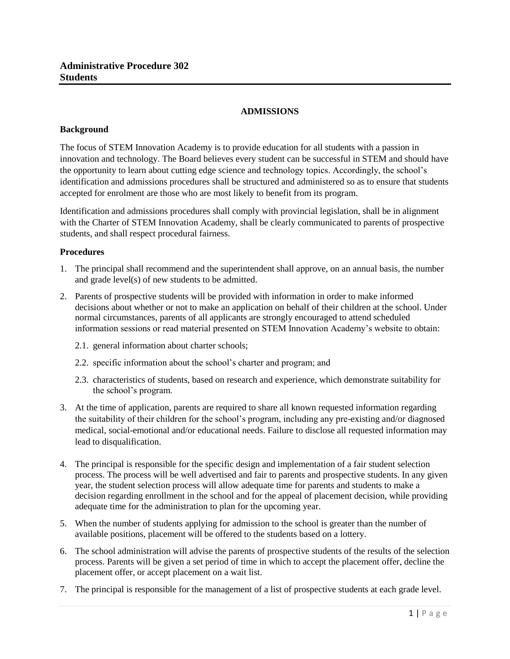## **ADMISSIONS**

## **Background**

The focus of STEM Innovation Academy is to provide education for all students with a passion in innovation and technology. The Board believes every student can be successful in STEM and should have the opportunity to learn about cutting edge science and technology topics. Accordingly, the school's identification and admissions procedures shall be structured and administered so as to ensure that students accepted for enrolment are those who are most likely to benefit from its program.

Identification and admissions procedures shall comply with provincial legislation, shall be in alignment with the Charter of STEM Innovation Academy, shall be clearly communicated to parents of prospective students, and shall respect procedural fairness.

## **Procedures**

- 1. The principal shall recommend and the superintendent shall approve, on an annual basis, the number and grade level(s) of new students to be admitted.
- 2. Parents of prospective students will be provided with information in order to make informed decisions about whether or not to make an application on behalf of their children at the school. Under normal circumstances, parents of all applicants are strongly encouraged to attend scheduled information sessions or read material presented on STEM Innovation Academy's website to obtain:
	- 2.1. general information about charter schools;
	- 2.2. specific information about the school's charter and program; and
	- 2.3. characteristics of students, based on research and experience, which demonstrate suitability for the school's program.
- 3. At the time of application, parents are required to share all known requested information regarding the suitability of their children for the school's program, including any pre-existing and/or diagnosed medical, social-emotional and/or educational needs. Failure to disclose all requested information may lead to disqualification.
- 4. The principal is responsible for the specific design and implementation of a fair student selection process. The process will be well advertised and fair to parents and prospective students. In any given year, the student selection process will allow adequate time for parents and students to make a decision regarding enrollment in the school and for the appeal of placement decision, while providing adequate time for the administration to plan for the upcoming year.
- 5. When the number of students applying for admission to the school is greater than the number of available positions, placement will be offered to the students based on a lottery.
- 6. The school administration will advise the parents of prospective students of the results of the selection process. Parents will be given a set period of time in which to accept the placement offer, decline the placement offer, or accept placement on a wait list.
- 7. The principal is responsible for the management of a list of prospective students at each grade level.